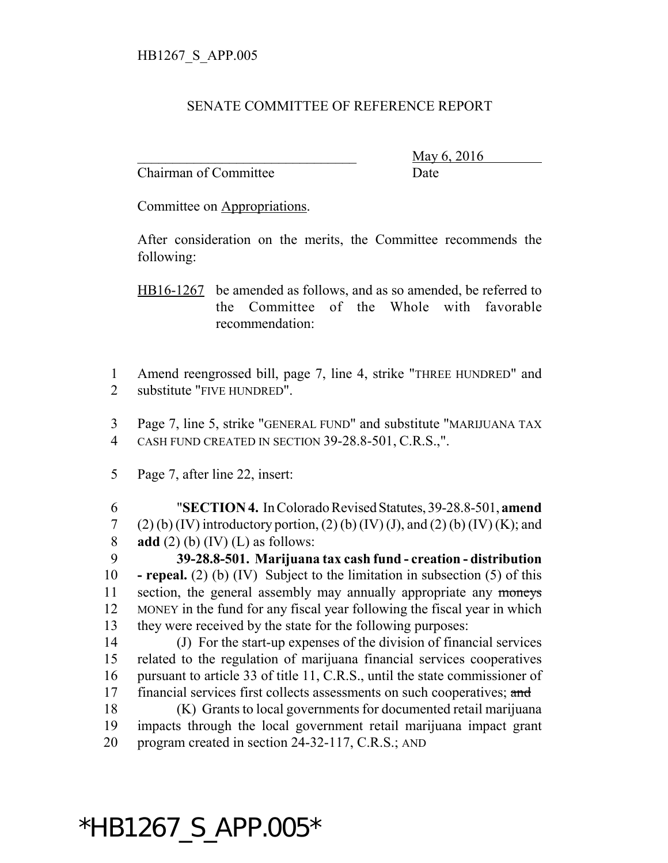## SENATE COMMITTEE OF REFERENCE REPORT

Chairman of Committee Date

\_\_\_\_\_\_\_\_\_\_\_\_\_\_\_\_\_\_\_\_\_\_\_\_\_\_\_\_\_\_\_ May 6, 2016

Committee on Appropriations.

After consideration on the merits, the Committee recommends the following:

HB16-1267 be amended as follows, and as so amended, be referred to the Committee of the Whole with favorable recommendation:

1 Amend reengrossed bill, page 7, line 4, strike "THREE HUNDRED" and 2 substitute "FIVE HUNDRED".

3 Page 7, line 5, strike "GENERAL FUND" and substitute "MARIJUANA TAX 4 CASH FUND CREATED IN SECTION 39-28.8-501, C.R.S.,".

5 Page 7, after line 22, insert:

6 "**SECTION 4.** In Colorado Revised Statutes, 39-28.8-501, **amend** 7 (2) (b) (IV) introductory portion, (2) (b) (IV) (J), and (2) (b) (IV) (K); and 8 **add** (2) (b) (IV) (L) as follows:

 **39-28.8-501. Marijuana tax cash fund - creation - distribution - repeal.** (2) (b) (IV) Subject to the limitation in subsection (5) of this 11 section, the general assembly may annually appropriate any moneys MONEY in the fund for any fiscal year following the fiscal year in which they were received by the state for the following purposes:

 (J) For the start-up expenses of the division of financial services related to the regulation of marijuana financial services cooperatives pursuant to article 33 of title 11, C.R.S., until the state commissioner of 17 financial services first collects assessments on such cooperatives; and

18 (K) Grants to local governments for documented retail marijuana 19 impacts through the local government retail marijuana impact grant 20 program created in section 24-32-117, C.R.S.; AND

## \*HB1267\_S\_APP.005\*